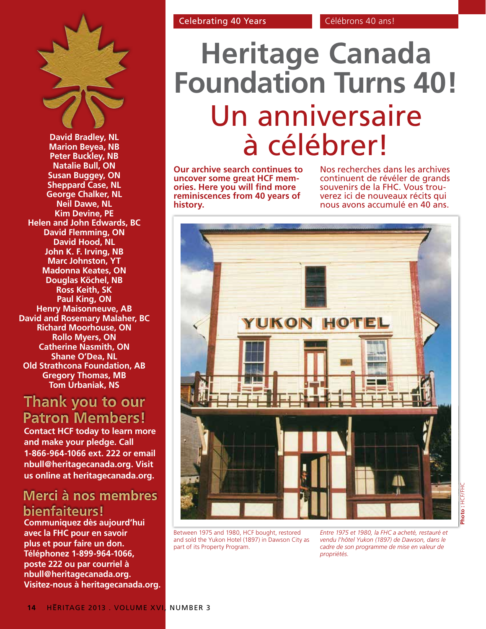

**David Bradley, NL Marion Beyea, NB Peter Buckley, NB Natalie Bull, ON Susan Buggey, ON Sheppard Case, NL George Chalker, NL Neil Dawe, NL Kim Devine, PE Helen and John Edwards, BC David Flemming, ON David Hood, NL John K. F. Irving, NB Marc Johnston, YT Madonna Keates, ON Douglas Köchel, NB Ross Keith, SK Paul King, ON Henry Maisonneuve, AB David and Rosemary Malaher, BC Richard Moorhouse, ON Rollo Myers, ON Catherine Nasmith, ON Shane O'Dea, NL Old Strathcona Foundation, AB Gregory Thomas, MB Tom Urbaniak, NS**

## Thank you to our **Patron Members!**

**Contact HCF today to learn more and make your pledge. Call 1-866-964-1066 ext. 222 or email nbull@heritagecanada.org. Visit us online at heritagecanada.org.**

### Merci à nos membres bienfaiteurs!

**Communiquez dès aujourd'hui avec la FHC pour en savoir plus et pour faire un don. Téléphonez 1-899-964-1066, poste 222 ou par courriel à nbull@heritagecanada.org. Visitez-nous à heritagecanada.org.**

# **Heritage Canada Foundation Turns 40!** Un anniversaire à célébrer!

**Our archive search continues to uncover some great HCF memories. Here you will find more reminiscences from 40 years of history.**

Nos recherches dans les archives continuent de révéler de grands<br>souvenirs de la FHC. Vous trouverez ici de nouveaux récits qui nous avons accumulé en 40 ans.



Between 1975 and 1980, HCF bought, restored and sold the Yukon Hotel (1897) in Dawson City as part of its Property Program.

*Entre 1975 et 1980, la FHC a acheté, restauré et vendu l'hôtel Yukon (1897) de Dawson, dans le cadre de son programme de mise en valeur de propriétés.*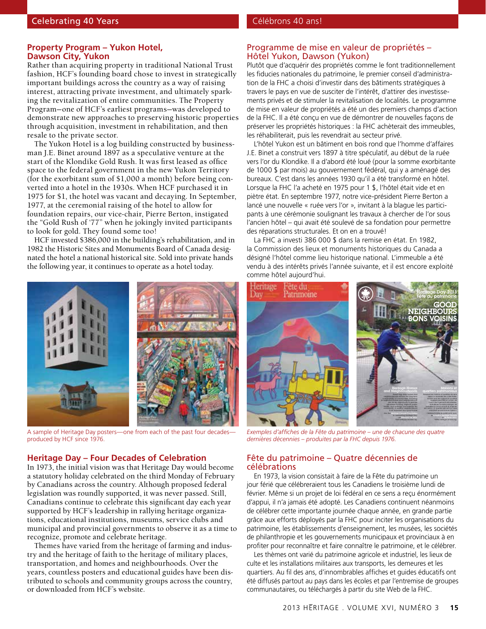#### **Property Program – Yukon Hotel, Dawson City, Yukon**

Rather than acquiring property in traditional National Trust fashion, HCF's founding board chose to invest in strategically important buildings across the country as a way of raising interest, attracting private investment, and ultimately sparking the revitalization of entire communities. The Property Program—one of HCF's earliest programs—was developed to demonstrate new approaches to preserving historic properties through acquisition, investment in rehabilitation, and then resale to the private sector.

The Yukon Hotel is a log building constructed by businessman J.E. Binet around 1897 as a speculative venture at the start of the Klondike Gold Rush. It was first leased as office space to the federal government in the new Yukon Territory (for the exorbitant sum of \$1,000 a month) before being converted into a hotel in the 1930s. When HCF purchased it in 1975 for \$1, the hotel was vacant and decaying. In September, 1977, at the ceremonial raising of the hotel to allow for foundation repairs, our vice-chair, Pierre Berton, instigated the "Gold Rush of '77" when he jokingly invited participants to look for gold. They found some too!

HCF invested \$386,000 in the building's rehabilitation, and in 1982 the Historic Sites and Monuments Board of Canada designated the hotel a national historical site. Sold into private hands the following year, it continues to operate as a hotel today.



A sample of Heritage Day posters—one from each of the past four decades produced by HCF since 1976.

#### **Heritage Day – Four Decades of Celebration**

In 1973, the initial vision was that Heritage Day would become a statutory holiday celebrated on the third Monday of February by Canadians across the country. Although proposed federal legislation was roundly supported, it was never passed. Still, Canadians continue to celebrate this significant day each year supported by HCF's leadership in rallying heritage organizations, educational institutions, museums, service clubs and municipal and provincial governments to observe it as a time to recognize, promote and celebrate heritage.

Themes have varied from the heritage of farming and industry and the heritage of faith to the heritage of military places, transportation, and homes and neighbourhoods. Over the years, countless posters and educational guides have been distributed to schools and community groups across the country, or downloaded from HCF's website.

#### Programme de mise en valeur de propriétés – Hôtel Yukon, Dawson (Yukon)

Plutôt que d'acquérir des propriétés comme le font traditionnellement les fiducies nationales du patrimoine, le premier conseil d'administration de la FHC a choisi d'investir dans des bâtiments stratégiques à travers le pays en vue de susciter de l'intérêt, d'attirer des investissements privés et de stimuler la revitalisation de localités. Le programme de mise en valeur de propriétés a été un des premiers champs d'action de la FHC. Il a été conçu en vue de démontrer de nouvelles façons de préserver les propriétés historiques : la FHC achèterait des immeubles, les réhabiliterait, puis les revendrait au secteur privé.

L'hôtel Yukon est un bâtiment en bois rond que l'homme d'affaires J.E. Binet a construit vers 1897 à titre spéculatif, au début de la ruée vers l'or du Klondike. Il a d'abord été loué (pour la somme exorbitante de 1000 \$ par mois) au gouvernement fédéral, qui y a aménagé des bureaux. C'est dans les années 1930 qu'il a été transformé en hôtel. Lorsque la FHC l'a acheté en 1975 pour 1 \$, l'hôtel était vide et en piètre état. En septembre 1977, notre vice-président Pierre Berton a lancé une nouvelle « ruée vers l'or », invitant à la blague les participants à une cérémonie soulignant les travaux à chercher de l'or sous l'ancien hôtel – qui avait été soulevé de sa fondation pour permettre des réparations structurales. Et on en a trouvé!

La FHC a investi 386 000 \$ dans la remise en état. En 1982, la Commission des lieux et monuments historiques du Canada a désigné l'hôtel comme lieu historique national. L'immeuble a été vendu à des intérêts privés l'année suivante, et il est encore exploité comme hôtel aujourd'hui.



*Exemples d'affiches de la Fête du patrimoine – une de chacune des quatre dernières décennies – produites par la FHC depuis 1976.*

#### Fête du patrimoine – Quatre décennies de célébrations

En 1973, la vision consistait à faire de la Fête du patrimoine un jour férié que célébreraient tous les Canadiens le troisième lundi de février. Même si un projet de loi fédéral en ce sens a reçu énormément d'appui, il n'a jamais été adopté. Les Canadiens continuent néanmoins de célébrer cette importante journée chaque année, en grande partie grâce aux efforts déployés par la FHC pour inciter les organisations du patrimoine, les établissements d'enseignement, les musées, les sociétés de philanthropie et les gouvernements municipaux et provinciaux à en profiter pour reconnaître et faire connaître le patrimoine, et le célébrer.

Les thèmes ont varié du patrimoine agricole et industriel, les lieux de culte et les installations militaires aux transports, les demeures et les quartiers. Au fil des ans, d'innombrables affiches et guides éducatifs ont été diffusés partout au pays dans les écoles et par l'entremise de groupes communautaires, ou téléchargés à partir du site Web de la FHC.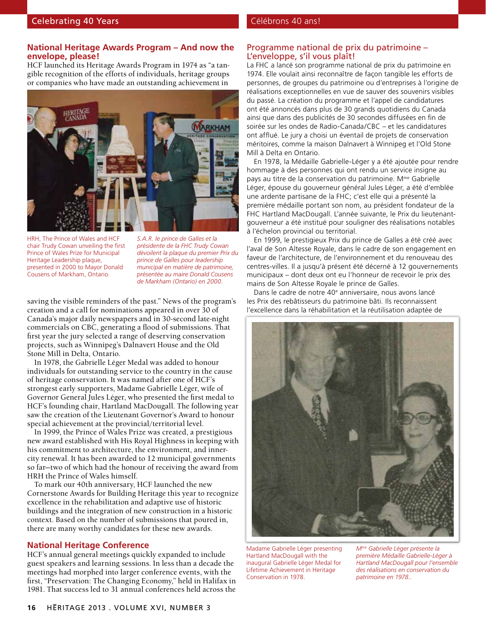#### **National Heritage Awards Program – And now the envelope, please!**

HCF launched its Heritage Awards Program in 1974 as "a tangible recognition of the efforts of individuals, heritage groups or companies who have made an outstanding achievement in



HRH, The Prince of Wales and HCF chair Trudy Cowan unveiling the first Prince of Wales Prize for Municipal Heritage Leadership plaque, presented in 2000 to Mayor Donald Cousens of Markham, Ontario.

*S.A.R. le prince de Galles et la présidente de la FHC Trudy Cowan dévoilent la plaque du premier Prix du prince de Galles pour leadership municipal en matière de patrimoine, présentée au maire Donald Cousens de Markham (Ontario) en 2000.*

saving the visible reminders of the past." News of the program's creation and a call for nominations appeared in over 30 of Canada's major daily newspapers and in 30-second late-night commercials on CBC, generating a flood of submissions. That first year the jury selected a range of deserving conservation projects, such as Winnipeg's Dalnavert House and the Old Stone Mill in Delta, Ontario.

In 1978, the Gabrielle Léger Medal was added to honour individuals for outstanding service to the country in the cause of heritage conservation. It was named after one of HCF's strongest early supporters, Madame Gabrielle Léger, wife of Governor General Jules Léger, who presented the first medal to HCF's founding chair, Hartland MacDougall. The following year saw the creation of the Lieutenant Governor's Award to honour special achievement at the provincial/territorial level.

In 1999, the Prince of Wales Prize was created, a prestigious new award established with His Royal Highness in keeping with his commitment to architecture, the environment, and innercity renewal. It has been awarded to 12 municipal governments so far—two of which had the honour of receiving the award from HRH the Prince of Wales himself.

To mark our 40th anniversary, HCF launched the new Cornerstone Awards for Building Heritage this year to recognize excellence in the rehabilitation and adaptive use of historic buildings and the integration of new construction in a historic context. Based on the number of submissions that poured in, there are many worthy candidates for these new awards.

#### **National Heritage Conference**

HCF's annual general meetings quickly expanded to include guest speakers and learning sessions. In less than a decade the meetings had morphed into larger conference events, with the first, "Preservation: The Changing Economy," held in Halifax in 1981. That success led to 31 annual conferences held across the

#### Programme national de prix du patrimoine – L'enveloppe, s'il vous plaît!

La FHC a lancé son programme national de prix du patrimoine en 1974. Elle voulait ainsi reconnaître de façon tangible les efforts de personnes, de groupes du patrimoine ou d'entreprises à l'origine de réalisations exceptionnelles en vue de sauver des souvenirs visibles du passé. La création du programme et l'appel de candidatures ont été annoncés dans plus de 30 grands quotidiens du Canada ainsi que dans des publicités de 30 secondes diffusées en fin de soirée sur les ondes de Radio-Canada/CBC – et les candidatures ont afflué. Le jury a choisi un éventail de projets de conservation méritoires, comme la maison Dalnavert à Winnipeg et l'Old Stone Mill à Delta en Ontario.

En 1978, la Médaille Gabrielle-Léger y a été ajoutée pour rendre hommage à des personnes qui ont rendu un service insigne au pays au titre de la conservation du patrimoine. M<sup>me</sup> Gabrielle Léger, épouse du gouverneur général Jules Léger, a été d'emblée une ardente partisane de la FHC; c'est elle qui a présenté la première médaille portant son nom, au président fondateur de la FHC Hartland MacDougall. L'année suivante, le Prix du lieutenantgouverneur a été institué pour souligner des réalisations notables à l'échelon provincial ou territorial.

En 1999, le prestigieux Prix du prince de Galles a été créé avec l'aval de Son Altesse Royale, dans le cadre de son engagement en faveur de l'architecture, de l'environnement et du renouveau des centres-villes. Il a jusqu'à présent été décerné à 12 gouvernements municipaux – dont deux ont eu l'honneur de recevoir le prix des mains de Son Altesse Royale le prince de Galles.

Dans le cadre de notre 40<sup>e</sup> anniversaire, nous avons lancé les Prix des rebâtisseurs du patrimoine bâti. Ils reconnaissent l'excellence dans la réhabilitation et la réutilisation adaptée de



Madame Gabrielle Léger presenting Hartland MacDougall with the inaugural Gabrielle Léger Medal for Lifetime Achievement in Heritage Conservation in 1978.

*Mme Gabrielle Léger présente la première Médaille Gabrielle-Léger à Hartland MacDougall pour l'ensemble des réalisations en conservation du patrimoine en 1978..*